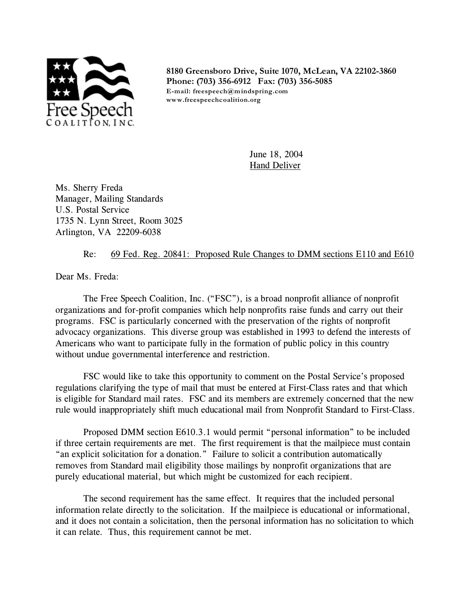

**8180 Greensboro Drive, Suite 1070, McLean, VA 22102-3860 Phone: (703) 356-6912 Fax: (703) 356-5085 E-mail: freespeech@mindspring.com www.freespeechcoalition.org**

> June 18, 2004 **Hand Deliver**

Ms. Sherry Freda Manager, Mailing Standards U.S. Postal Service 1735 N. Lynn Street, Room 3025 Arlington, VA 22209-6038

## Re: 69 Fed. Reg. 20841: Proposed Rule Changes to DMM sections E110 and E610

Dear Ms. Freda:

The Free Speech Coalition, Inc. ("FSC"), is a broad nonprofit alliance of nonprofit organizations and for-profit companies which help nonprofits raise funds and carry out their programs. FSC is particularly concerned with the preservation of the rights of nonprofit advocacy organizations. This diverse group was established in 1993 to defend the interests of Americans who want to participate fully in the formation of public policy in this country without undue governmental interference and restriction.

FSC would like to take this opportunity to comment on the Postal Service's proposed regulations clarifying the type of mail that must be entered at First-Class rates and that which is eligible for Standard mail rates. FSC and its members are extremely concerned that the new rule would inappropriately shift much educational mail from Nonprofit Standard to First-Class.

Proposed DMM section E610.3.1 would permit "personal information" to be included if three certain requirements are met. The first requirement is that the mailpiece must contain "an explicit solicitation for a donation." Failure to solicit a contribution automatically removes from Standard mail eligibility those mailings by nonprofit organizations that are purely educational material, but which might be customized for each recipient.

The second requirement has the same effect. It requires that the included personal information relate directly to the solicitation. If the mailpiece is educational or informational, and it does not contain a solicitation, then the personal information has no solicitation to which it can relate. Thus, this requirement cannot be met.